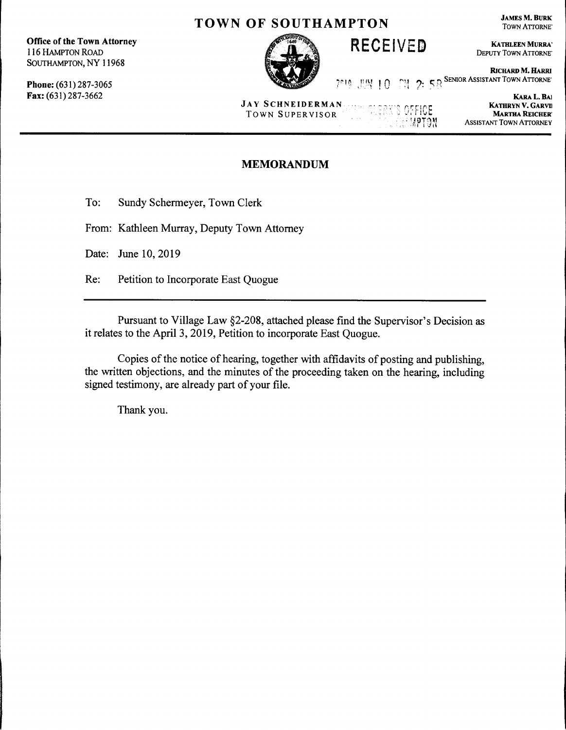Office of the Town Attorney 116 HAMPTON ROAD SOUTHAMPTON, NY 11968

Phone: (631)287-3065 Fax: (631) 287-3662

# **TOWN OF SOUTHAMPTON** JAMES M. BURK



RECEIVED KATHLEEN MURRA'

DEPUTY TOWN ATTORNE"

RICHARD M. HARRI  $\frac{L_{\text{L}}}{L_{\text{L}}}\cdot$  ( $\frac{L_{\text{L}}}{L_{\text{L}}}\cdot$  ). ( $\frac{L_{\text{L}}}{L_{\text{L}}}\cdot$  SENIOR ASSISTANT TOWN ATTORNET 7<sup>019</sup> 思风 10

> KARA L. BAI KATHRYN V. GARVII MARTHA REICHER' ASSISTANT TOWN ATIORNEY

#### JAY SCHNEIDERMAN S OFFICE TOWN SUPERVISOR **EMPTON**

# MEMORANDUM

To: Sundy Schermeyer, Town Clerk

From: Kathleen Murray, Deputy Town Attorney

Date: June 10, 2019

Re: Petition to Incorporate East Quogue

Pursuant to Village Law §2-208, attached please find the Supervisor's Decision as it relates to the April 3, 2019, Petition to incorporate East Quogue.

Copies of the notice of hearing, together with affidavits of posting and publishing, the written objections, and the minutes of the proceeding taken on the hearing, including signed testimony, are already part of your file.

Thank you.

TOWN ATTORNE'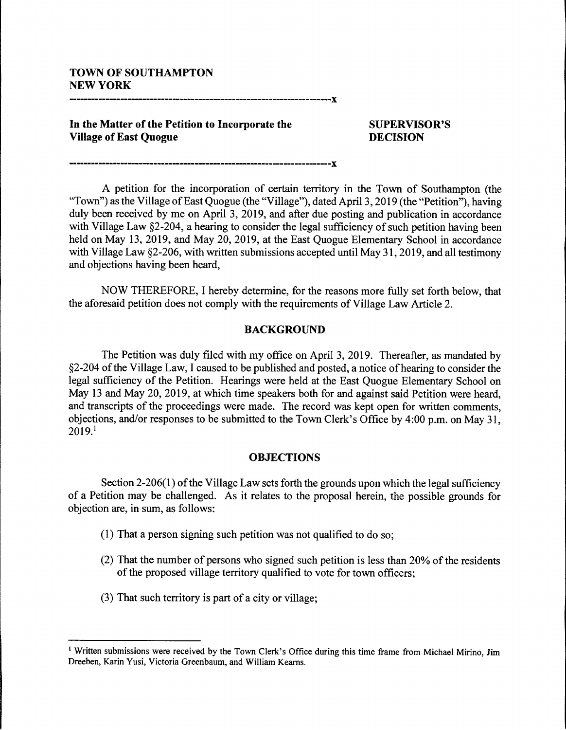**In the Matter of the Petition to Incorporate the Village of East Quogue** 

-----------------------------------------------------------------------x

-----------------------------------------------------------------------x

# **SUPERVISOR'S DECISION**

A petition for the incorporation of certain territory in the Town of Southampton (the "Town") as the Village of East Quogue (the "Village"), dated April 3, 2019 (the "Petition"), having duly been received by me on April 3, 2019, and after due posting and publication in accordance with Village Law §2-204, a hearing to consider the legal sufficiency of such petition having been held on May 13, 2019, and May 20, 2019, at the East Quogue Elementary School in accordance with Village Law §2-206, with written submissions accepted until May 31, 2019, and all testimony and objections having been heard,

NOW THEREFORE, I hereby determine, for the reasons more fully set forth below, that the aforesaid petition does not comply with the requirements of Village Law Article 2.

# **BACKGROUND**

The Petition was duly filed with my office on April 3, 2019. Thereafter, as mandated by §2-204 of the Village Law, I caused to be published and posted, a notice of hearing to consider the legal sufficiency of the Petition. Hearings were held at the East Quogue Elementary School on May 13 and May 20, 2019, at which time speakers both for and against said Petition were heard, and transcripts of the proceedings were made. The record was kept open for written comments, objections, and/or responses to be submitted to the Town Clerk's Office by 4:00 p.m. on May 31,  $2019.<sup>1</sup>$ 

#### **OBJECTIONS**

Section 2-206(1) of the Village Law sets forth the grounds upon which the legal sufficiency of a Petition may be challenged. As it relates to the proposal herein, the possible grounds for objection are, in sum, as follows:

- (1) That a person signing such petition was not qualified to do so;
- (2) That the number of persons who signed such petition is less than 20% of the residents of the proposed village territory qualified to vote for town officers;
- (3) That such territory is part of a city or village;

<sup>1</sup> Written submissions were received by the Town Clerk's Office during this time frame from Michael Mirino, Jim Dreeben, Karin Yusi, Victoria Greenbaum, and William Keams.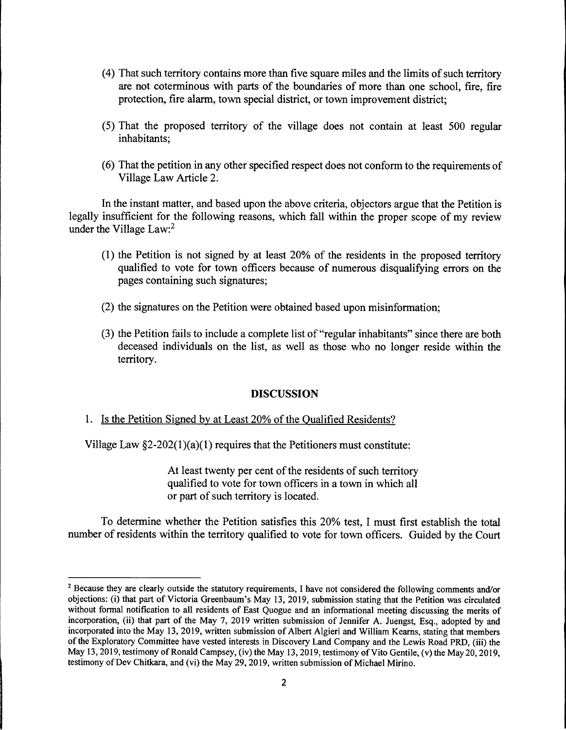- ( 4) That such territory contains more than five square miles and the limits of such territory are not coterminous with parts of the boundaries of more than one school, fire, fire protection, fire alarm, town special district, or town improvement district;
- (5) That the proposed territory of the village does not contain at least 500 regular inhabitants;
- (6) That the petition in any other specified respect does not conform to the requirements of Village Law Article 2.

In the instant matter, and based upon the above criteria, objectors argue that the Petition is legally insufficient for the following reasons, which fall within the proper scope of my review under the Village Law:<sup>2</sup>

- (1) the Petition is not signed by at least 20% of the residents in the proposed territory qualified to vote for town officers because of numerous disqualifying errors on the pages containing such signatures;
- (2) the signatures on the Petition were obtained based upon misinformation;
- (3) the Petition fails to include a complete list of "regular inhabitants" since there are both deceased individuals on the list, as well as those who no longer reside within the territory.

# DISCUSSION

#### 1. Is the Petition Signed by at Least 20% of the Qualified Residents?

Village Law  $\S2-202(1)(a)(1)$  requires that the Petitioners must constitute:

At least twenty per cent of the residents of such territory qualified to vote for town officers in a town in which all or part of such territory is located.

To determine whether the Petition satisfies this 20% test, I must first establish the total number of residents within the territory qualified to vote for town officers. Guided by the Court

<sup>&</sup>lt;sup>2</sup> Because they are clearly outside the statutory requirements, I have not considered the following comments and/or objections: (i) that part of Victoria Greenbaum's May 13, 2019, submission stating that the Petition was circulated without formal notification to all residents of East Quogue and an informational meeting discussing the merits of incorporation, (ii) that part of the May 7, 2019 written submission of Jennifer A. Juengst, Esq., adopted by and incorporated into the May 13, 2019, written submission of Albert Algieri and William Kearns, stating that members of the Exploratory Committee have vested interests in Discovery Land Company and the Lewis Road PRD, (iii) the May 13, 2019, testimony of Ronald Campsey, (iv) the May 13, 2019, testimony of Vito Gentile, (v) the May 20, 2019, testimony of Dev Chitkara, and (vi) the May 29, 2019, written submission of Michael Mirino.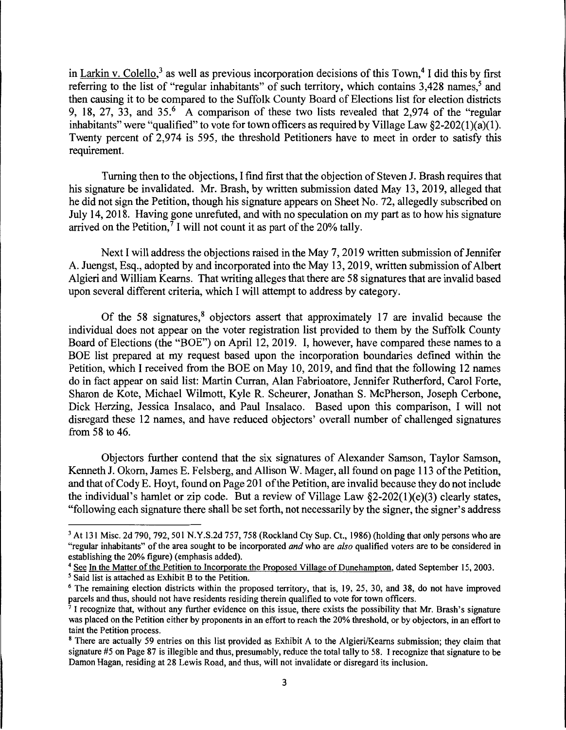in Larkin v. Colello,<sup>3</sup> as well as previous incorporation decisions of this Town,<sup>4</sup> I did this by first referring to the list of "regular inhabitants" of such territory, which contains  $3,428$  names,<sup>5</sup> and then causing it to be compared to the Suffolk County Board of Elections list for election districts 9, 18, 27, 33, and  $35<sup>6</sup>$ . A comparison of these two lists revealed that 2,974 of the "regular" inhabitants" were "qualified" to vote for town officers as required by Village Law  $\S2-202(1)(a)(1)$ . Twenty percent of 2,974 is 595, the threshold Petitioners have to meet in order to satisfy this requirement.

Turning then to the objections, I find first that the objection of Steven J. Brash requires that his signature be invalidated. Mr. Brash, by written submission dated May 13, 2019, alleged that he did not sign the Petition, though his signature appears on Sheet No. 72, allegedly subscribed on July 14, 2018. Having gone unrefuted, and with no speculation on my part as to how his signature arrived on the Petition,  $\frac{7}{1}$  will not count it as part of the 20% tally.

Next I will address the objections raised in the May 7, 2019 written submission of Jennifer A. Juengst, Esq., adopted by and incorporated into the May 13, 2019, written submission of Albert Algieri and William Keams. That writing alleges that there are 58 signatures that are invalid based upon several different criteria, which I will attempt to address by category.

Of the 58 signatures, $8$  objectors assert that approximately 17 are invalid because the individual does not appear on the voter registration list provided to them by the Suffolk County Board of Elections (the "BOE") on April 12, 2019. I, however, have compared these names to a BOE list prepared at my request based upon the incorporation boundaries defined within the Petition, which I received from the BOE on May 10, 2019, and find that the following 12 names do in fact appear on said list: Martin Curran, Alan Fabrioatore, Jennifer Rutherford, Carol Forte, Sharon de Kote, Michael Wilmott, Kyle R. Scheurer, Jonathan S. McPherson, Joseph Cerbone, Dick Herzing, Jessica Insalaco, and Paul Insalaco. Based upon this comparison, I will not disregard these 12 names, and have reduced objectors' overall number of challenged signatures from 58 to 46.

Objectors further contend that the six signatures of Alexander Samson, Taylor Samson, Kenneth J. Okom, James E. Felsberg, and Allison W. Mager, all found on page 113 of the Petition, and that of Cody E. Hoyt, found on Page 201 of the Petition, are invalid because they do not include the individual's hamlet or zip code. But a review of Village Law  $\S2-202(1)(e)(3)$  clearly states, "following each signature there shall be set forth, not necessarily by the signer, the signer's address

<sup>&</sup>lt;sup>3</sup> At 131 Misc. 2d 790, 792, 501 N.Y.S.2d 757, 758 (Rockland Cty Sup. Ct., 1986) (holding that only persons who are "regular inhabitants" of the area sought to be incorporated *and* who are *also* qualified voters are to be considered in establishing the 20% figure) (emphasis added).

<sup>&</sup>lt;sup>4</sup> See In the Matter of the Petition to Incorporate the Proposed Village of Dunehampton, dated September 15, 2003.<br><sup>5</sup> Said list is attached as Exhibit B to the Petition.<br><sup>6</sup> The remaining election districts within the pr

<sup>&</sup>lt;sup>7</sup> I recognize that, without any further evidence on this issue, there exists the possibility that Mr. Brash's signature was placed on the Petition either by proponents in an effort to reach the 20% threshold, or by objectors, in an effort to taint the Petition process.<br><sup>8</sup> There are actually 59 entries on this list provided as Exhibit A to the Algieri/Kearns submission; they claim that

signature #5 on Page 87 is illegible and thus, presumably, reduce the total tally to 58. I recognize that signature to be Damon Hagan, residing at 28 Lewis Road, and thus, will not invalidate or disregard its inclusion.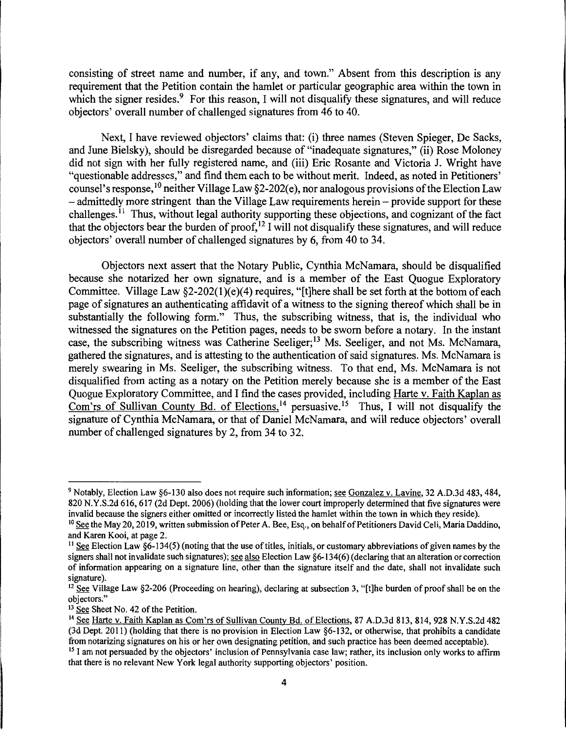consisting of street name and number, if any, and town." Absent from this description is any requirement that the Petition contain the hamlet or particular geographic area within the town in which the signer resides.<sup>9</sup> For this reason, I will not disqualify these signatures, and will reduce objectors' overall number of challenged signatures from 46 to 40.

Next, I have reviewed objectors' claims that: (i) three names (Steven Spieger, De Sacks, and June Bielsky), should be disregarded because of "inadequate signatures," (ii) Rose Moloney did not sign with her fully registered name, and (iii) Eric Rosante and Victoria J. Wright have "questionable addresses," and find them each to be without merit. Indeed, as noted in Petitioners' counsel's response, <sup>10</sup> neither Village Law  $\S$ 2-202(e), nor analogous provisions of the Election Law - admittedly more stringent than the Village Law requirements herein – provide support for these challenges.<sup>11</sup> Thus, without legal authority supporting these objections, and cognizant of the fact that the objectors bear the burden of proof,  $^{12}$  I will not disqualify these signatures, and will reduce objectors' overall number of challenged signatures by 6, from 40 to 34.

Objectors next assert that the Notary Public, Cynthia McNamara, should be disqualified because she notarized her own signature, and is a member of the East Quogue Exploratory Committee. Village Law §2-202(1)(e)(4) requires, "[t]here shall be set forth at the bottom of each page of signatures an authenticating affidavit of a witness to the signing thereof which shall be in substantially the following form." Thus, the subscribing witness, that is, the individual who witnessed the signatures on the Petition pages, needs to be sworn before a notary. In the instant case, the subscribing witness was Catherine Seeliger;13 Ms. Seeliger, and not Ms. McNamara, gathered the signatures, and is attesting to the authentication of said signatures. Ms. McNamara is merely swearing in Ms. Seeliger, the subscribing witness. To that end, Ms. McNamara is not disqualified from acting as a notary on the Petition merely because she is a member of the East Quogue Exploratory Committee, and I find the cases provided, including Harte v. Faith Kaplan as Com'rs of Sullivan County Bd. of Elections,  $14$  persuasive. <sup>15</sup> Thus, I will not disqualify the signature of Cynthia McNamara, or that of Daniel McNamara, and will reduce objectors' overall number of challenged signatures by 2, from 34 to 32.

<sup>9</sup> Notably, Election Law §6-130 also does not require such information; see Gonzalez v. Lavine, 32 A.D.3d 483, 484, 820 N. Y.S.2d 616, 617 (2d Dept. 2006) (holding that the lower court improperly determined that five signatures were invalid because the signers either omitted or incorrectly listed the hamlet within the town in which they reside).

<sup>&</sup>lt;sup>10</sup> See the May 20, 2019, written submission of Peter A. Bee, Esq., on behalf of Petitioners David Celi, Maria Daddino, and Karen Kooi, at page 2.

<sup>&</sup>lt;sup>11</sup> See Election Law  $\delta$ 6-134(5) (noting that the use of titles, initials, or customary abbreviations of given names by the signers shall not invalidate such signatures); see also Election Law §6-134(6) (declaring that an alteration or correction of information appearing on a signature line, other than the signature itself and the date, shall not invalidate such signature).

 $12$  See Village Law §2-206 (Proceeding on hearing), declaring at subsection 3, "[t]he burden of proof shall be on the objectors."<br><sup>13</sup> See Sheet No. 42 of the Petition.

<sup>&</sup>lt;sup>14</sup> See Harte v. Faith Kaplan as Com'rs of Sullivan County Bd. of Elections, 87 A.D.3d 813, 814, 928 N.Y.S.2d 482 (3d Dept. 2011) (holding that there is no provision in Election Law  $\S6-132$ , or otherwise, that prohibits a candidate from notarizing signatures on his or her own designating petition, and such practice has been deemed a

<sup>&</sup>lt;sup>15</sup> I am not persuaded by the objectors' inclusion of Pennsylvania case law; rather, its inclusion only works to affirm that there is no relevant New York legal authority supporting objectors' position.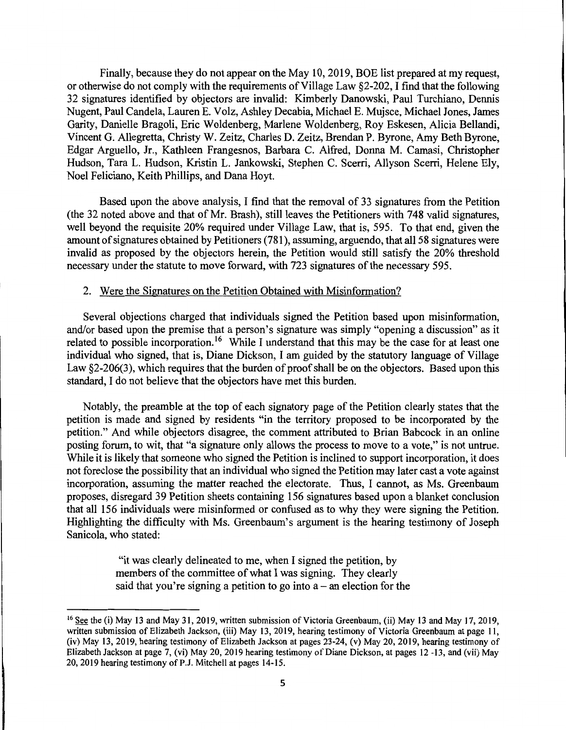Finally, because they do not appear on the May 10, 2019, BOE list prepared at my request, or otherwise do not comply with the requirements of Village Law §2-202, I find that the following 32 signatures identified by objectors are invalid: Kimberly Danowski, Paul Turchiano, Dennis Nugent, Paul Candela, Lauren E. Volz, Ashley Decabia, Michael E. Mujsce, Michael Jones, James Garity, Danielle Bragoli, Eric Woldenberg, Marlene Woldenberg, Roy Eskesen, Alicia Bellandi, Vincent G. Allegretta, Christy W. Zeitz, Charles D. Zeitz, Brendan P. Byrone, Amy Beth Byrone, Edgar Arguello, Jr., Kathleen Frangesnos, Barbara C. Alfred, Donna M. Camasi, Christopher Hudson, Tara L. Hudson, Kristin L. Jankowski, Stephen C. Scerri, Allyson Scerri, Helene Ely, Noel Feliciano, Keith Phillips, and Dana Hoyt.

Based upon the above analysis, I find that the removal of 33 signatures from the Petition (the 32 noted above and that of Mr. Brash), still leaves the Petitioners with 748 valid signatures, well beyond the requisite 20% required under Village Law, that is, 595. To that end, given the amount of signatures obtained by Petitioners (781 ), assuming, arguendo, that all 58 signatures were invalid as proposed by the objectors herein, the Petition would still satisfy the 20% threshold necessary under the statute to move forward, with 723 signatures of the necessary 595.

#### 2. Were the Signatures on the Petition Obtained with Misinformation?

Several objections charged that individuals signed the Petition based upon misinformation, and/or based upon the premise that a person's signature was simply "opening a discussion" as it related to possible incorporation.<sup>16</sup> While I understand that this may be the case for at least one individual who signed, that is, Diane Dickson, I am guided by the statutory language of Village Law §2-206(3), which requires that the burden of proof shall be on the objectors. Based upon this standard, I do not believe that the objectors have met this burden.

Notably, the preamble at the top of each signatory page of the Petition clearly states that the petition is made and signed by residents "in the territory proposed to be incorporated by the petition." And while objectors disagree, the comment attributed to Brian Babcock in an online posting forum, to wit, that "a signature only allows the process to move to a vote," is not untrue. While it is likely that someone who signed the Petition is inclined to support incorporation, it does not foreclose the possibility that an individual who signed the Petition may later cast a vote against incorporation, assuming the matter reached the electorate. Thus, I cannot, as Ms. Greenbaum proposes, disregard 39 Petition sheets containing 156 signatures based upon a blanket conclusion that all 156 individuals were misinformed or confused as to why they were signing the Petition. Highlighting the difficulty with Ms. Greenbaum's argument is the hearing testimony of Joseph Sanicola, who stated:

> "it was clearly delineated to me, when I signed the petition, by members of the committee of what I was signing. They clearly said that you're signing a petition to go into  $a$  – an election for the

<sup>&</sup>lt;sup>16</sup> See the (i) May 13 and May 31, 2019, written submission of Victoria Greenbaum, (ii) May 13 and May 17, 2019, written submission of Elizabeth Jackson, (iii) May 13, 2019, hearing testimony of Victoria Greenbaum at page 11, (iv) May 13, 2019, hearing testimony of Elizabeth Jackson at pages 23-24, (v) May 20, 2019, hearing testimony of Elizabeth Jackson at page 7, (vi) May 20, 2019 hearing testimony of Diane Dickson, at pages 12 -13, and (vii) May 20, 2019 hearing testimony of P.J. Mitchell at pages 14-15.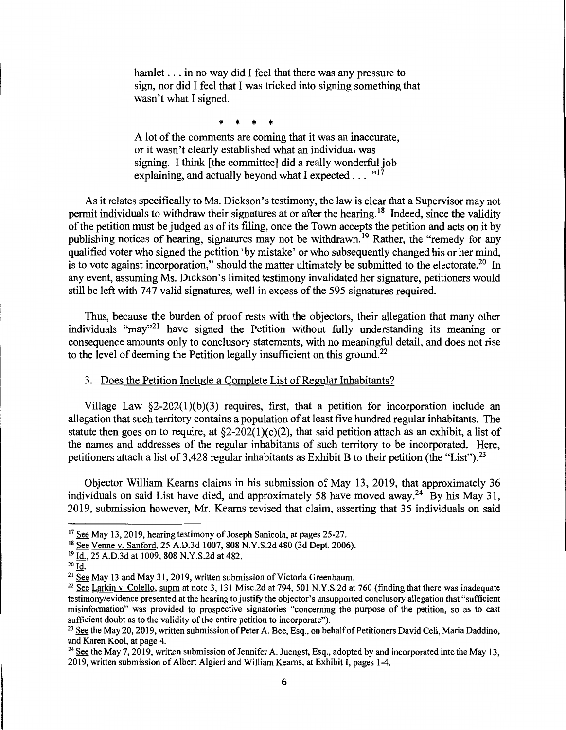hamlet . . . in no way did I feel that there was any pressure to sign, nor did I feel that I was tricked into signing something that wasn't what I signed.

\* \* \* \*

A lot of the comments are coming that it was an inaccurate, or it wasn't clearly established what an individual was signing. I think [the committee] did a really wonderful job explaining, and actually beyond what I expected  $\ldots$  "<sup>17</sup>

As it relates specifically to Ms. Dickson's testimony, the law is clear that a Supervisor may not permit individuals to withdraw their signatures at or after the hearing.<sup>18</sup> Indeed, since the validity of the petition must be judged as of its filing, once the Town accepts the petition and acts on it by publishing notices of hearing, signatures may not be withdrawn.<sup>19</sup> Rather, the "remedy for any qualified voter who signed the petition 'by mistake' or who subsequently changed his or her mind, is to vote against incorporation," should the matter ultimately be submitted to the electorate.<sup>20</sup> In any event, assuming Ms. Dickson's limited testimony invalidated her signature, petitioners would still be left with 747 valid signatures, well in excess of the 595 signatures required.

Thus, because the burden of proof rests with the objectors, their allegation that many other individuals "may"<sup>21</sup> have signed the Petition without fully understanding its meaning or consequence amounts only to conclusory statements, with no meaningful detail, and does not rise to the level of deeming the Petition legally insufficient on this ground.<sup>22</sup>

#### 3. Does the Petition Include a Complete List of Regular Inhabitants?

Village Law  $\S2-202(1)(b)(3)$  requires, first, that a petition for incorporation include an allegation that such territory contains a population of at least five hundred regular inhabitants. The statute then goes on to require, at  $\S2-202(1)(c)(2)$ , that said petition attach as an exhibit, a list of the names and addresses of the regular inhabitants of such territory to be incorporated. Here, petitioners attach a list of 3,428 regular inhabitants as Exhibit B to their petition (the "List").<sup>23</sup>

Objector William Keams claims in his submission of May 13, 2019, that approximately 36 individuals on said List have died, and approximately 58 have moved away.<sup>24</sup> By his May 31, 2019, submission however, Mr. Keams revised that claim, asserting that 35 individuals on said

<sup>&</sup>lt;sup>17</sup> See May 13, 2019, hearing testimony of Joseph Sanicola, at pages 25-27.

<sup>&</sup>lt;sup>18</sup> See Venne v. Sanford, 25 A.D.3d 1007, 808 N.Y.S.2d 480 (3d Dept. 2006).<br><sup>19</sup> Id., 25 A.D.3d at 1009, 808 N.Y.S.2d at 482.

 $20 \overline{Id}$ .

<sup>&</sup>lt;sup>21</sup> See May 13 and May 31, 2019, written submission of Victoria Greenbaum.<br><sup>22</sup> See Larkin v. Colello, supra at note 3, 131 Misc.2d at 794, 501 N.Y.S.2d at 760 (finding that there was inadequate testimony/evidence presented at the hearing to justify the objector's unsupported conclusory allegation that "sufficient misinformation" was provided to prospective signatories "concerning the purpose of the petition, so as to cast sufficient doubt as to the validity of the entire petition to incorporate").

 $^{23}$  See the May 20, 2019, written submission of Peter A. Bee, Esq., on behalf of Petitioners David Celi, Maria Daddino, and Karen Kooi, at page 4.

<sup>&</sup>lt;sup>24</sup> See the May 7, 2019, written submission of Jennifer A. Juengst, Esq., adopted by and incorporated into the May 13, 2019, written submission of Albert Algieri and William Keams, at Exhibit I, pages 1-4.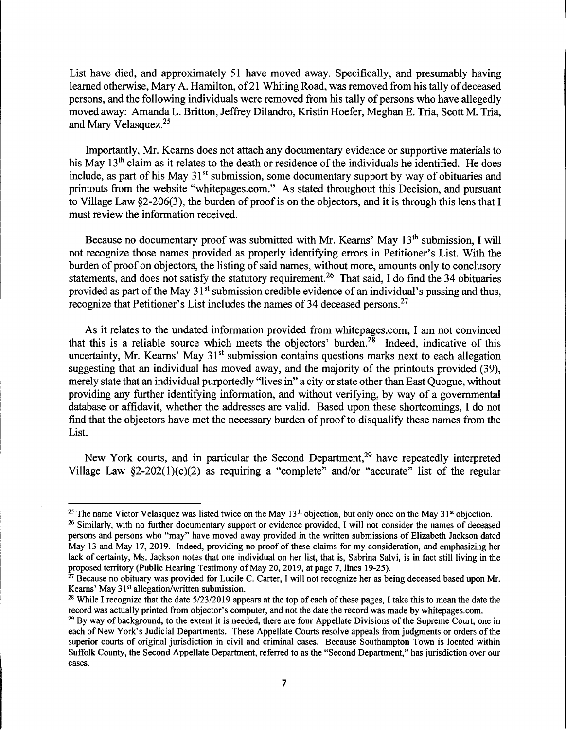List have died, and approximately 51 have moved away. Specifically, and presumably having learned otherwise, Mary A. Hamilton, of 21 Whiting Road, was removed from his tally of deceased persons, and the following individuals were removed from his tally of persons who have allegedly moved away: Amanda L. Britton, Jeffrey Dilandro, Kristin Hoefer, Meghan E. Tria, Scott M. Tria, and Mary Velasquez. 25

Importantly, Mr. Kearns does not attach any documentary evidence or supportive materials to his May 13<sup>th</sup> claim as it relates to the death or residence of the individuals he identified. He does include, as part of his May 31<sup>st</sup> submission, some documentary support by way of obituaries and printouts from the website "whitepages.com." As stated throughout this Decision, and pursuant to Village Law §2-206(3), the burden of proof is on the objectors, and it is through this lens that I must review the information received.

Because no documentary proof was submitted with Mr. Kearns' May 13<sup>th</sup> submission, I will not recognize those names provided as properly identifying errors in Petitioner's List. With the burden of proof on objectors, the listing of said names, without more, amounts only to conclusory statements, and does not satisfy the statutory requirement.<sup>26</sup> That said, I do find the 34 obituaries provided as part of the May 31<sup>st</sup> submission credible evidence of an individual's passing and thus, recognize that Petitioner's List includes the names of 34 deceased persons. 27

As it relates to the undated information provided from whitepages.com, I am not convinced that this is a reliable source which meets the objectors' burden.<sup>28</sup> Indeed, indicative of this uncertainty, Mr. Kearns' May  $31<sup>st</sup>$  submission contains questions marks next to each allegation suggesting that an individual has moved away, and the majority of the printouts provided (39), merely state that an individual purportedly "lives in" a city or state other than East Quogue, without providing any further identifying information, and without verifying, by way of a governmental database or affidavit, whether the addresses are valid. Based upon these shortcomings, I do not find that the objectors have met the necessary burden of proof to disqualify these names from the List.

New York courts, and in particular the Second Department,<sup>29</sup> have repeatedly interpreted Village Law  $\S2-202(1)(c)(2)$  as requiring a "complete" and/or "accurate" list of the regular

<sup>&</sup>lt;sup>25</sup> The name Victor Velasquez was listed twice on the May  $13<sup>th</sup>$  objection, but only once on the May  $31<sup>st</sup>$  objection.

<sup>&</sup>lt;sup>26</sup> Similarly, with no further documentary support or evidence provided, I will not consider the names of deceased persons and persons who "may" have moved away provided in the written submissions of Elizabeth Jackson dated May 13 and May 17, 2019. Indeed, providing no proof of these claims for my consideration, and emphasizing her lack of certainty, Ms. Jackson notes that one individual on her list, that is, Sabrina Salvi, is in fact still living in the proposed territory (Public Hearing Testimony of May 20, 2019, at page 7, lines 19-25).<br><sup>27</sup> Because no obituary was provided for Lucile C. Carter, I will not recognize her as being deceased based upon Mr.

Kearns' May 31<sup>st</sup> allegation/written submission.<br><sup>28</sup> While I recognize that the date 5/23/2019 appears at the top of each of these pages, I take this to mean the date the

record was actually printed from objector's computer, and not the date the record was made by whitepages.com.<br><sup>29</sup> By way of background, to the extent it is needed, there are four Appellate Divisions of the Supreme Court,

each of New York's Judicial Departments. These Appellate Courts resolve appeals from judgments or orders of the superior courts of original jurisdiction in civil and criminal cases. Because Southampton Town is located within Suffolk County, the Second Appellate Department, referred to as the "Second Department," has jurisdiction over our cases.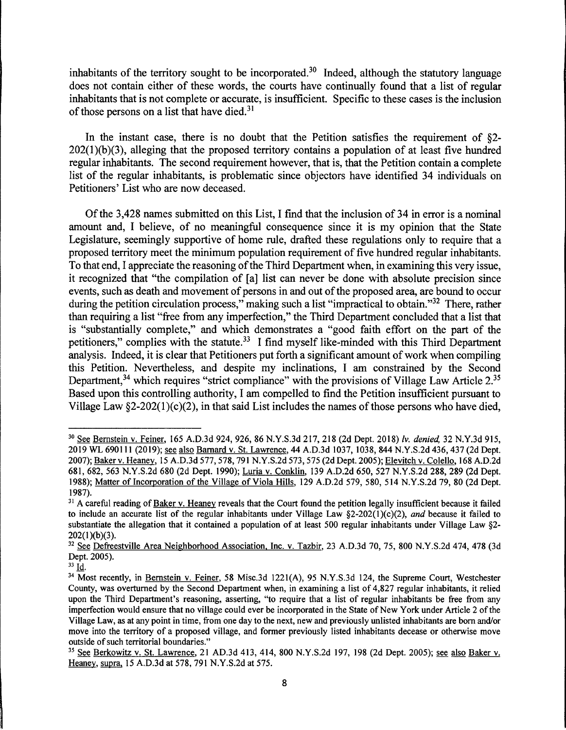inhabitants of the territory sought to be incorporated.<sup>30</sup> Indeed, although the statutory language does not contain either of these words, the courts have continually found that a list of regular inhabitants that is not complete or accurate, is insufficient. Specific to these cases is the inclusion of those persons on a list that have died.<sup>31</sup>

In the instant case, there is no doubt that the Petition satisfies the requirement of  $\S2$ - $202(1)(b)(3)$ , alleging that the proposed territory contains a population of at least five hundred regular inhabitants. The second requirement however, that is, that the Petition contain a complete list of the regular inhabitants, is problematic since objectors have identified 34 individuals on Petitioners' List who are now deceased.

Of the 3,428 names submitted on this List, I find that the inclusion of 34 in error is a nominal amount and, I believe, of no meaningful consequence since it is my opinion that the State Legislature, seemingly supportive of home rule, drafted these regulations only to require that a proposed territory meet the minimum population requirement of five hundred regular inhabitants. To that end, I appreciate the reasoning of the Third Department when, in examining this very issue, it recognized that "the compilation of [a] list can never be done with absolute precision since events, such as death and movement of persons in and out of the proposed area, are bound to occur during the petition circulation process," making such a list "impractical to obtain."<sup>32</sup> There, rather than requiring a list "free from any imperfection," the Third Department concluded that a list that is "substantially complete," and which demonstrates a "good faith effort on the part of the petitioners," complies with the statute.<sup>33</sup> I find myself like-minded with this Third Department analysis. Indeed, it is clear that Petitioners put forth a significant amount of work when compiling this Petition. Nevertheless, and despite my inclinations, I am constrained by the Second Department,<sup>34</sup> which requires "strict compliance" with the provisions of Village Law Article 2.<sup>35</sup> Based upon this controlling authority, I am compelled to find the Petition insufficient pursuant to Village Law §2-202(1)(c)(2), in that said List includes the names of those persons who have died,

<sup>30</sup> See Bernstein v. Feiner, 165 A.D.3d 924, 926, 86 N.Y.S.3d 217, 218 (2d Dept. 2018) *Iv. denied,* 32 N.Y.3d 915, 2019 WL 690111 (2019); see also Barnard v. St. Lawrence, 44 A.D.3d 1037, 1038, 844 N.Y.S.2d 436, 437 (2d Dept. 2007); Baker v. Heaney, 15 A.D.3d 577, 578, 791N.Y.S.2d573, 575 (2d Dept. 2005); Elevitch v. Colello, 168 A.D.2d 681, 682, 563 N.Y.S.2d 680 (2d Dept. 1990); Luria v. Conklin, 139 A.D.2d 650, 527 N.Y.S.2d 288, 289 (2d Dept. 1988); Matter of Incorporation of the Village of Viola Hills, 129 A.D.2d 579, 580, 514 N.Y.S.2d 79, 80 (2d Dept. 1987).

<sup>&</sup>lt;sup>31</sup> A careful reading of Baker v. Heaney reveals that the Court found the petition legally insufficient because it failed to include an accurate list of the regular inhabitants under Village Law §2-202{l)(c)(2), *and* because it failed to substantiate the allegation that it contained a population of at least 500 regular inhabitants under Village Law §2-  $202(1)(b)(3)$ .<br><sup>32</sup> See Defreestville Area Neighborhood Association, Inc. v. Tazbir, 23 A.D.3d 70, 75, 800 N.Y.S.2d 474, 478 (3d

Dept. 2005).

 $33$  Id.

<sup>&</sup>lt;sup>34</sup> Most recently, in Bernstein v. Feiner, 58 Misc.3d 1221(A), 95 N.Y.S.3d 124, the Supreme Court, Westchester County, was overturned by the Second Department when, in examining a list of 4,827 regular inhabitants, it relied upon the Third Department's reasoning, asserting, "to require that a list of regular inhabitants be free from any imperfection would ensure that no village could ever be incorporated in the State of New York under Article 2 of the Village Law, as at any point in time, from one day to the next, new and previously unlisted inhabitants are born and/or move into the territory of a proposed village, and former previously listed inhabitants decease or otherwise move outside of such territorial boundaries."<br><sup>35</sup> See Berkowitz v. St. Lawrence, 21 AD.3d 413, 414, 800 N.Y.S.2d 197, 198 (2d Dept. 2005); see also Baker v.

Heaney, supra, 15 A.D.3d at 578, 791 N.Y.S.2d at 575.